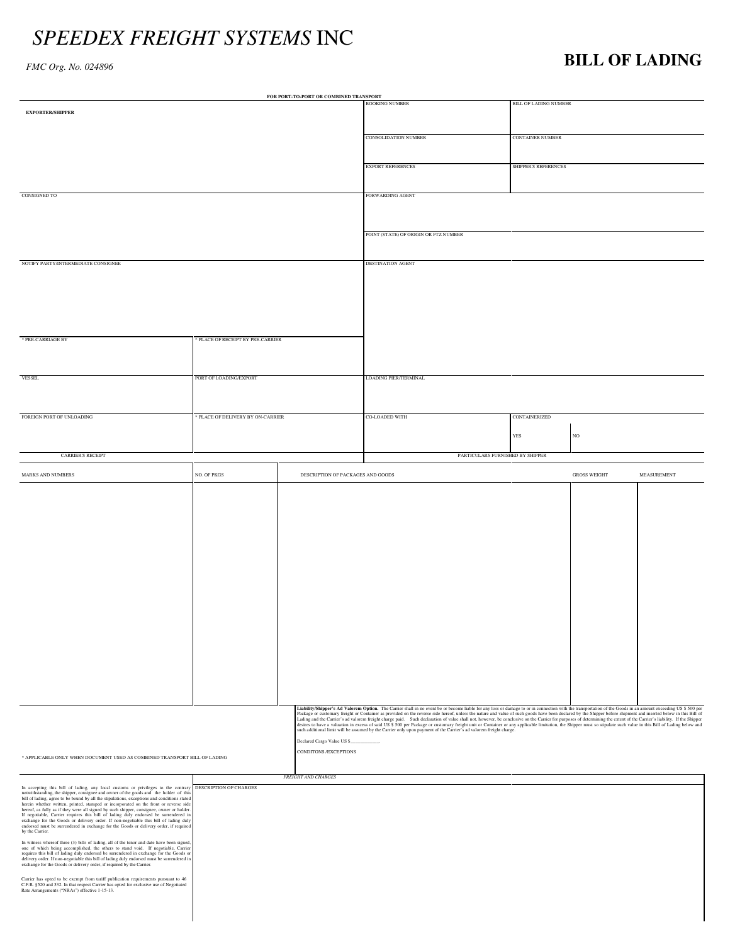## *SPEEDEX FREIGHT SYSTEMS* INC

## *FMC Org. No. 024896* **BILL OF LADING**

| FOR PORT-TO-PORT OR COMBINED TRANSPORT                                                                                                                                                                                                                                                           |                                   |                                   |                                                                                                                                                                                                                                                                                                                                                                                                                                                                                                                                                                                                                                                            |                         |                     |             |  |  |
|--------------------------------------------------------------------------------------------------------------------------------------------------------------------------------------------------------------------------------------------------------------------------------------------------|-----------------------------------|-----------------------------------|------------------------------------------------------------------------------------------------------------------------------------------------------------------------------------------------------------------------------------------------------------------------------------------------------------------------------------------------------------------------------------------------------------------------------------------------------------------------------------------------------------------------------------------------------------------------------------------------------------------------------------------------------------|-------------------------|---------------------|-------------|--|--|
| <b>EXPORTER/SHIPPER</b>                                                                                                                                                                                                                                                                          |                                   |                                   | <b>BOOKING NUMBER</b>                                                                                                                                                                                                                                                                                                                                                                                                                                                                                                                                                                                                                                      | BILL OF LADING NUMBER   |                     |             |  |  |
|                                                                                                                                                                                                                                                                                                  |                                   |                                   |                                                                                                                                                                                                                                                                                                                                                                                                                                                                                                                                                                                                                                                            |                         |                     |             |  |  |
|                                                                                                                                                                                                                                                                                                  |                                   |                                   | <b>CONSOLIDATION NUMBER</b>                                                                                                                                                                                                                                                                                                                                                                                                                                                                                                                                                                                                                                | <b>CONTAINER NUMBER</b> |                     |             |  |  |
|                                                                                                                                                                                                                                                                                                  |                                   |                                   |                                                                                                                                                                                                                                                                                                                                                                                                                                                                                                                                                                                                                                                            |                         |                     |             |  |  |
|                                                                                                                                                                                                                                                                                                  |                                   |                                   | <b>EXPORT REFERENCES</b>                                                                                                                                                                                                                                                                                                                                                                                                                                                                                                                                                                                                                                   | SHIPPER'S REFERENCES    |                     |             |  |  |
|                                                                                                                                                                                                                                                                                                  |                                   |                                   |                                                                                                                                                                                                                                                                                                                                                                                                                                                                                                                                                                                                                                                            |                         |                     |             |  |  |
|                                                                                                                                                                                                                                                                                                  |                                   |                                   | FORWARDING AGENT                                                                                                                                                                                                                                                                                                                                                                                                                                                                                                                                                                                                                                           |                         |                     |             |  |  |
| <b>CONSIGNED TO</b>                                                                                                                                                                                                                                                                              |                                   |                                   |                                                                                                                                                                                                                                                                                                                                                                                                                                                                                                                                                                                                                                                            |                         |                     |             |  |  |
|                                                                                                                                                                                                                                                                                                  |                                   |                                   |                                                                                                                                                                                                                                                                                                                                                                                                                                                                                                                                                                                                                                                            |                         |                     |             |  |  |
|                                                                                                                                                                                                                                                                                                  |                                   |                                   | POINT (STATE) OF ORIGIN OR FTZ NUMBER                                                                                                                                                                                                                                                                                                                                                                                                                                                                                                                                                                                                                      |                         |                     |             |  |  |
|                                                                                                                                                                                                                                                                                                  |                                   |                                   |                                                                                                                                                                                                                                                                                                                                                                                                                                                                                                                                                                                                                                                            |                         |                     |             |  |  |
|                                                                                                                                                                                                                                                                                                  |                                   |                                   | DESTINATION AGENT                                                                                                                                                                                                                                                                                                                                                                                                                                                                                                                                                                                                                                          |                         |                     |             |  |  |
| NOTIFY PARTY/INTERMEDIATE CONSIGNEE                                                                                                                                                                                                                                                              |                                   |                                   |                                                                                                                                                                                                                                                                                                                                                                                                                                                                                                                                                                                                                                                            |                         |                     |             |  |  |
|                                                                                                                                                                                                                                                                                                  |                                   |                                   |                                                                                                                                                                                                                                                                                                                                                                                                                                                                                                                                                                                                                                                            |                         |                     |             |  |  |
|                                                                                                                                                                                                                                                                                                  |                                   |                                   |                                                                                                                                                                                                                                                                                                                                                                                                                                                                                                                                                                                                                                                            |                         |                     |             |  |  |
|                                                                                                                                                                                                                                                                                                  |                                   |                                   |                                                                                                                                                                                                                                                                                                                                                                                                                                                                                                                                                                                                                                                            |                         |                     |             |  |  |
|                                                                                                                                                                                                                                                                                                  |                                   |                                   |                                                                                                                                                                                                                                                                                                                                                                                                                                                                                                                                                                                                                                                            |                         |                     |             |  |  |
| * PRE-CARRIAGE BY                                                                                                                                                                                                                                                                                | PLACE OF RECEIPT BY PRE-CARRIER   |                                   |                                                                                                                                                                                                                                                                                                                                                                                                                                                                                                                                                                                                                                                            |                         |                     |             |  |  |
|                                                                                                                                                                                                                                                                                                  |                                   |                                   |                                                                                                                                                                                                                                                                                                                                                                                                                                                                                                                                                                                                                                                            |                         |                     |             |  |  |
|                                                                                                                                                                                                                                                                                                  |                                   |                                   |                                                                                                                                                                                                                                                                                                                                                                                                                                                                                                                                                                                                                                                            |                         |                     |             |  |  |
| <b>VESSEL</b>                                                                                                                                                                                                                                                                                    | PORT OF LOADING/EXPORT            |                                   | LOADING PIER/TERMINAL                                                                                                                                                                                                                                                                                                                                                                                                                                                                                                                                                                                                                                      |                         |                     |             |  |  |
|                                                                                                                                                                                                                                                                                                  |                                   |                                   |                                                                                                                                                                                                                                                                                                                                                                                                                                                                                                                                                                                                                                                            |                         |                     |             |  |  |
|                                                                                                                                                                                                                                                                                                  |                                   |                                   |                                                                                                                                                                                                                                                                                                                                                                                                                                                                                                                                                                                                                                                            |                         |                     |             |  |  |
| FOREIGN PORT OF UNLOADING                                                                                                                                                                                                                                                                        | * PLACE OF DELIVERY BY ON-CARRIER |                                   | CO-LOADED WITH                                                                                                                                                                                                                                                                                                                                                                                                                                                                                                                                                                                                                                             | CONTAINERIZED           |                     |             |  |  |
|                                                                                                                                                                                                                                                                                                  |                                   |                                   |                                                                                                                                                                                                                                                                                                                                                                                                                                                                                                                                                                                                                                                            | YES                     | $_{\rm NO}$         |             |  |  |
|                                                                                                                                                                                                                                                                                                  |                                   |                                   |                                                                                                                                                                                                                                                                                                                                                                                                                                                                                                                                                                                                                                                            |                         |                     |             |  |  |
| <b>CARRIER'S RECEIPT</b>                                                                                                                                                                                                                                                                         |                                   |                                   | PARTICULARS FURNISHED BY SHIPPER                                                                                                                                                                                                                                                                                                                                                                                                                                                                                                                                                                                                                           |                         |                     |             |  |  |
| MARKS AND NUMBERS                                                                                                                                                                                                                                                                                | NO. OF PKGS                       | DESCRIPTION OF PACKAGES AND GOODS |                                                                                                                                                                                                                                                                                                                                                                                                                                                                                                                                                                                                                                                            |                         | <b>GROSS WEIGHT</b> | MEASUREMENT |  |  |
|                                                                                                                                                                                                                                                                                                  |                                   |                                   |                                                                                                                                                                                                                                                                                                                                                                                                                                                                                                                                                                                                                                                            |                         |                     |             |  |  |
|                                                                                                                                                                                                                                                                                                  |                                   |                                   |                                                                                                                                                                                                                                                                                                                                                                                                                                                                                                                                                                                                                                                            |                         |                     |             |  |  |
|                                                                                                                                                                                                                                                                                                  |                                   |                                   |                                                                                                                                                                                                                                                                                                                                                                                                                                                                                                                                                                                                                                                            |                         |                     |             |  |  |
|                                                                                                                                                                                                                                                                                                  |                                   |                                   |                                                                                                                                                                                                                                                                                                                                                                                                                                                                                                                                                                                                                                                            |                         |                     |             |  |  |
|                                                                                                                                                                                                                                                                                                  |                                   |                                   |                                                                                                                                                                                                                                                                                                                                                                                                                                                                                                                                                                                                                                                            |                         |                     |             |  |  |
|                                                                                                                                                                                                                                                                                                  |                                   |                                   |                                                                                                                                                                                                                                                                                                                                                                                                                                                                                                                                                                                                                                                            |                         |                     |             |  |  |
|                                                                                                                                                                                                                                                                                                  |                                   |                                   |                                                                                                                                                                                                                                                                                                                                                                                                                                                                                                                                                                                                                                                            |                         |                     |             |  |  |
|                                                                                                                                                                                                                                                                                                  |                                   |                                   |                                                                                                                                                                                                                                                                                                                                                                                                                                                                                                                                                                                                                                                            |                         |                     |             |  |  |
|                                                                                                                                                                                                                                                                                                  |                                   |                                   |                                                                                                                                                                                                                                                                                                                                                                                                                                                                                                                                                                                                                                                            |                         |                     |             |  |  |
|                                                                                                                                                                                                                                                                                                  |                                   |                                   |                                                                                                                                                                                                                                                                                                                                                                                                                                                                                                                                                                                                                                                            |                         |                     |             |  |  |
|                                                                                                                                                                                                                                                                                                  |                                   |                                   |                                                                                                                                                                                                                                                                                                                                                                                                                                                                                                                                                                                                                                                            |                         |                     |             |  |  |
|                                                                                                                                                                                                                                                                                                  |                                   |                                   |                                                                                                                                                                                                                                                                                                                                                                                                                                                                                                                                                                                                                                                            |                         |                     |             |  |  |
|                                                                                                                                                                                                                                                                                                  |                                   |                                   |                                                                                                                                                                                                                                                                                                                                                                                                                                                                                                                                                                                                                                                            |                         |                     |             |  |  |
|                                                                                                                                                                                                                                                                                                  |                                   |                                   |                                                                                                                                                                                                                                                                                                                                                                                                                                                                                                                                                                                                                                                            |                         |                     |             |  |  |
|                                                                                                                                                                                                                                                                                                  |                                   |                                   |                                                                                                                                                                                                                                                                                                                                                                                                                                                                                                                                                                                                                                                            |                         |                     |             |  |  |
|                                                                                                                                                                                                                                                                                                  |                                   |                                   |                                                                                                                                                                                                                                                                                                                                                                                                                                                                                                                                                                                                                                                            |                         |                     |             |  |  |
|                                                                                                                                                                                                                                                                                                  |                                   |                                   |                                                                                                                                                                                                                                                                                                                                                                                                                                                                                                                                                                                                                                                            |                         |                     |             |  |  |
|                                                                                                                                                                                                                                                                                                  |                                   |                                   | Liability/Shipper's Ad Valorem Option. The Carrier shall in no event be or become liable for any loss or damage to or in connection with the transportation of the Goods in an amount exceeding US \$ 500 per<br>Package or customary freight or Container as provided on the reverse side hereof, unless the nature and value of such goods have been declared by the Shipper before shipment and inserted below in this Bill of<br>Lading and the Carrier's ad valorem freight charge paid. Such declaration of value shall not, however, be conclusive on the Carrier for purposes of determining the extent of the Carrier's liability. If the Shipper |                         |                     |             |  |  |
|                                                                                                                                                                                                                                                                                                  |                                   |                                   | desires to have a valuation in excess of said US \$ 500 per Package or customary freight unit or Container or any applicable limitation, the Shipper must so stipulate such value in this Bill of Lading below and<br>such additional limit will be assumed by the Carrier only upon payment of the Carrier's ad valorem freight charge.                                                                                                                                                                                                                                                                                                                   |                         |                     |             |  |  |
|                                                                                                                                                                                                                                                                                                  |                                   |                                   |                                                                                                                                                                                                                                                                                                                                                                                                                                                                                                                                                                                                                                                            |                         |                     |             |  |  |
| CONDITONS / EXCEPTIONS<br>* APPLICABLE ONLY WHEN DOCUMENT USED AS COMBINED TRANSPORT BILL OF LADING                                                                                                                                                                                              |                                   |                                   |                                                                                                                                                                                                                                                                                                                                                                                                                                                                                                                                                                                                                                                            |                         |                     |             |  |  |
|                                                                                                                                                                                                                                                                                                  |                                   |                                   |                                                                                                                                                                                                                                                                                                                                                                                                                                                                                                                                                                                                                                                            |                         |                     |             |  |  |
|                                                                                                                                                                                                                                                                                                  |                                   | <b>FREIGHT AND CHARGES</b>        |                                                                                                                                                                                                                                                                                                                                                                                                                                                                                                                                                                                                                                                            |                         |                     |             |  |  |
| In accepting this bill of lading, any local customs or privileges to the contrary DESCRIPTION OF CHARGES<br>notwithstanding, the shipper, consignee and owner of the goods and the holder of this<br>bill of lading, agree to be bound by all the stipulations, exceptions and conditions stated |                                   |                                   |                                                                                                                                                                                                                                                                                                                                                                                                                                                                                                                                                                                                                                                            |                         |                     |             |  |  |
| herein whether written, printed, stamped or incorporated on the front or reverse side<br>hereof, as fully as if they were all signed by such shipper, consignee, owner or holder.<br>If negotiable, Carrier requires this bill of lading duly endorsed be surrendered in                         |                                   |                                   |                                                                                                                                                                                                                                                                                                                                                                                                                                                                                                                                                                                                                                                            |                         |                     |             |  |  |
| exchange for the Goods or delivery order. If non-negotiable this bill of lading duly<br>endorsed must be surrendered in exchange for the Goods or delivery order, if required                                                                                                                    |                                   |                                   |                                                                                                                                                                                                                                                                                                                                                                                                                                                                                                                                                                                                                                                            |                         |                     |             |  |  |
| by the Carrier.                                                                                                                                                                                                                                                                                  |                                   |                                   |                                                                                                                                                                                                                                                                                                                                                                                                                                                                                                                                                                                                                                                            |                         |                     |             |  |  |
| In witness whereof three (3) bills of lading, all of the tenor and date have been signed,<br>one of which being accomplished, the others to stand void. If negotiable, Carrier<br>requires this bill of lading duly endorsed be surrendered in exchange for the Goods or                         |                                   |                                   |                                                                                                                                                                                                                                                                                                                                                                                                                                                                                                                                                                                                                                                            |                         |                     |             |  |  |
| delivery order. If non-negotiable this bill of lading duly endorsed must be surrendered in<br>exchange for the Goods or delivery order, if required by the Carrier.                                                                                                                              |                                   |                                   |                                                                                                                                                                                                                                                                                                                                                                                                                                                                                                                                                                                                                                                            |                         |                     |             |  |  |
|                                                                                                                                                                                                                                                                                                  |                                   |                                   |                                                                                                                                                                                                                                                                                                                                                                                                                                                                                                                                                                                                                                                            |                         |                     |             |  |  |
| Carrier has opted to be exempt from tariff publication requirements pursuant to $46$ C.F.R. $$520$ and $532$ . In that respect Carrier has opted for exclusive use of Negotiated<br>Rate Arrangements ("NRAs") effective 1-15-13.                                                                |                                   |                                   |                                                                                                                                                                                                                                                                                                                                                                                                                                                                                                                                                                                                                                                            |                         |                     |             |  |  |
|                                                                                                                                                                                                                                                                                                  |                                   |                                   |                                                                                                                                                                                                                                                                                                                                                                                                                                                                                                                                                                                                                                                            |                         |                     |             |  |  |
|                                                                                                                                                                                                                                                                                                  |                                   |                                   |                                                                                                                                                                                                                                                                                                                                                                                                                                                                                                                                                                                                                                                            |                         |                     |             |  |  |